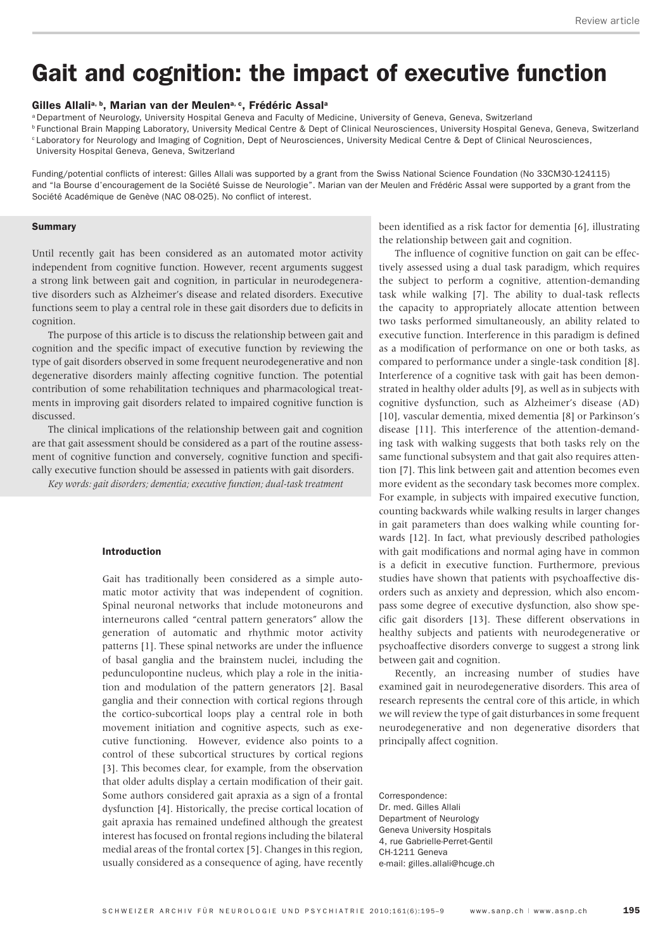# Gait and cognition: the impact of executive function

## Gilles Allali<sup>a, b</sup>, Marian van der Meulen<sup>a, c</sup>, Frédéric Assal<sup>a</sup>

<sup>a</sup> Department of Neurology, University Hospital Geneva and Faculty of Medicine, University of Geneva, Geneva, Switzerland

<sup>b</sup> Functional Brain Mapping Laboratory, University Medical Centre & Dept of Clinical Neurosciences, University Hospital Geneva, Geneva, Switzerland <sup>c</sup> Laboratory for Neurology and Imaging of Cognition, Dept of Neurosciences, University Medical Centre & Dept of Clinical Neurosciences,

University Hospital Geneva, Geneva, Switzerland

Funding/potential conflicts of interest: Gilles Allali was supported by a grant from the Swiss National Science Foundation (No 33CM30-124115) and "la Bourse d'encouragement de la Société Suisse de Neurologie". Marian van der Meulen and Frédéric Assal were supported by a grant from the Société Académique de Genève (NAC 08-025). No conflict of interest.

#### Summary

Until recently gait has been considered as an automated motor activity independent from cognitive function. However, recent arguments suggest a strong link between gait and cognition, in particular in neurodegenerative disorders such as Alzheimer's disease and related disorders. Executive functions seem to play a central role in these gait disorders due to deficits in cognition.

The purpose of this article is to discuss the relationship between gait and cognition and the specific impact of executive function by reviewing the type of gait disorders observed in some frequent neurodegenerative and non degenerative disorders mainly affecting cognitive function. The potential contribution of some rehabilitation techniques and pharmacological treatments in improving gait disorders related to impaired cognitive function is discussed.

The clinical implications of the relationship between gait and cognition are that gait assessment should be considered as a part of the routine assessment of cognitive function and conversely, cognitive function and specifically executive function should be assessed in patients with gait disorders.

*Key words: gait disorders; dementia; executive function; dual-task treatment*

#### Introduction

Gait has traditionally been considered as a simple automatic motor activity that was independent of cognition. Spinal neuronal networks that include motoneurons and interneurons called "central pattern generators" allow the generation of automatic and rhythmic motor activity patterns [1]. These spinal networks are under the influence of basal ganglia and the brainstem nuclei, including the pedunculopontine nucleus, which play a role in the initiation and modulation of the pattern generators [2]. Basal ganglia and their connection with cortical regions through the cortico-subcortical loops play a central role in both movement initiation and cognitive aspects, such as executive functioning. However, evidence also points to a control of these subcortical structures by cortical regions [3]. This becomes clear, for example, from the observation that older adults display a certain modification of their gait. Some authors considered gait apraxia as a sign of a frontal dysfunction [4]. Historically, the precise cortical location of gait apraxia has remained undefined although the greatest interest has focused on frontal regions including the bilateral medial areas of the frontal cortex [5]. Changes in this region, usually considered as a consequence of aging, have recently

been identified as a risk factor for dementia [6], illustrating the relationship between gait and cognition.

The influence of cognitive function on gait can be effectively assessed using a dual task paradigm, which requires the subject to perform a cognitive, attention-demanding task while walking [7]. The ability to dual-task reflects the capacity to appropriately allocate attention between two tasks performed simultaneously, an ability related to executive function. Interference in this paradigm is defined as a modification of performance on one or both tasks, as compared to performance under a single-task condition [8]. Interference of a cognitive task with gait has been demonstrated in healthy older adults [9], as well as in subjects with cognitive dysfunction, such as Alzheimer's disease (AD) [10], vascular dementia, mixed dementia [8] or Parkinson's disease [11]. This interference of the attention-demanding task with walking suggests that both tasks rely on the same functional subsystem and that gait also requires attention [7]. This link between gait and attention becomes even more evident as the secondary task becomes more complex. For example, in subjects with impaired executive function, counting backwards while walking results in larger changes in gait parameters than does walking while counting forwards [12]. In fact, what previously described pathologies with gait modifications and normal aging have in common is a deficit in executive function. Furthermore, previous studies have shown that patients with psychoaffective disorders such as anxiety and depression, which also encompass some degree of executive dysfunction, also show specific gait disorders [13]. These different observations in healthy subjects and patients with neurodegenerative or psychoaffective disorders converge to suggest a strong link between gait and cognition.

Recently, an increasing number of studies have examined gait in neurodegenerative disorders. This area of research represents the central core of this article, in which we will review the type of gait disturbances in some frequent neurodegenerative and non degenerative disorders that principally affect cognition.

Correspondence: Dr. med. Gilles Allali Department of Neurology Geneva University Hospitals 4, rue Gabrielle-Perret-Gentil CH-1211 Geneva e-mail: gilles.allali@hcuge.ch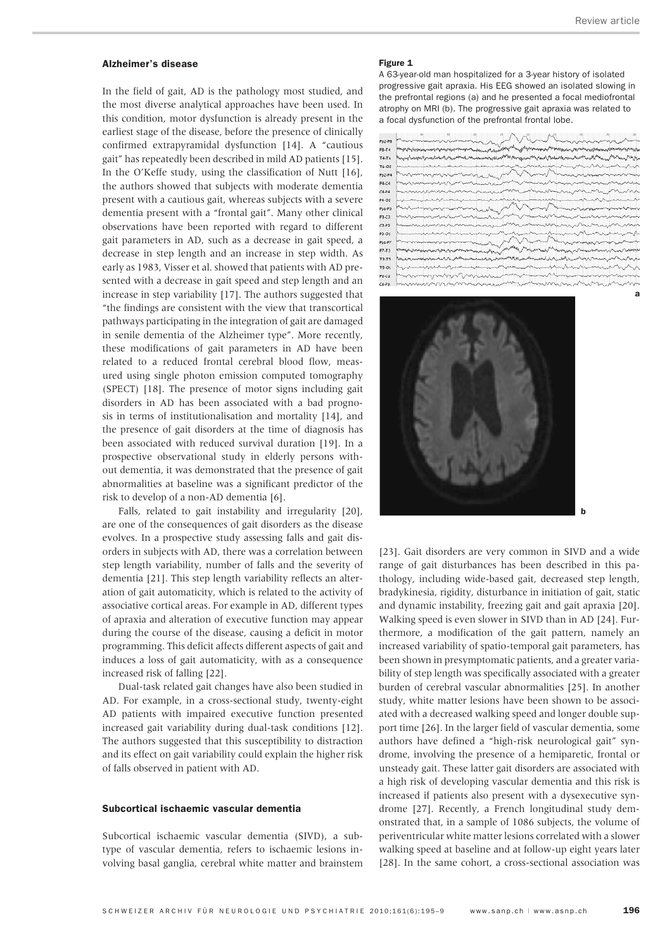a

## Alzheimer's disease

In the field of gait, AD is the pathology most studied, and the most diverse analytical approaches have been used. In this condition, motor dysfunction is already present in the earliest stage of the disease, before the presence of clinically confirmed extrapyramidal dysfunction [14]. A "cautious gait" has repeatedly been described in mild AD patients [15]. In the O'Keffe study, using the classification of Nutt [16], the authors showed that subjects with moderate dementia present with a cautious gait, whereas subjects with a severe dementia present with a "frontal gait". Many other clinical observations have been reported with regard to different gait parameters in AD, such as a decrease in gait speed, a decrease in step length and an increase in step width. As early as 1983, Visser et al. showed that patients with AD presented with a decrease in gait speed and step length and an increase in step variability [17]. The authors suggested that "the findings are consistent with the view that transcortical pathways participating in the integration of gait are damaged in senile dementia of the Alzheimer type". More recently, these modifications of gait parameters in AD have been related to a reduced frontal cerebral blood flow, measured using single photon emission computed tomography (SPECT) [18]. The presence of motor signs including gait disorders in AD has been associated with a bad prognosis in terms of institutionalisation and mortality [14], and the presence of gait disorders at the time of diagnosis has been associated with reduced survival duration [19]. In a prospective observational study in elderly persons without dementia, it was demonstrated that the presence of gait abnormalities at baseline was a significant predictor of the risk to develop of a non-AD dementia [6].

Falls, related to gait instability and irregularity [20], are one of the consequences of gait disorders as the disease evolves. In a prospective study assessing falls and gait disorders in subjects with AD, there was a correlation between step length variability, number of falls and the severity of dementia [21]. This step length variability reflects an alteration of gait automaticity, which is related to the activity of associative cortical areas. For example in AD, different types of apraxia and alteration of executive function may appear during the course of the disease, causing a deficit in motor programming. This deficit affects different aspects of gait and induces a loss of gait automaticity, with as a consequence increased risk of falling [22].

Dual-task related gait changes have also been studied in AD. For example, in a cross-sectional study, twenty-eight AD patients with impaired executive function presented increased gait variability during dual-task conditions [12]. The authors suggested that this susceptibility to distraction and its effect on gait variability could explain the higher risk of falls observed in patient with AD.

# Subcortical ischaemic vascular dementia

Subcortical ischaemic vascular dementia (SIVD), a subtype of vascular dementia, refers to ischaemic lesions involving basal ganglia, cerebral white matter and brainstem

#### Figure 1

A 63-year-old man hospitalized for a 3-year history of isolated progressive gait apraxia. His EEG showed an isolated slowing in the prefrontal regions (a) and he presented a focal mediofrontal atrophy on MRI (b). The progressive gait apraxia was related to a focal dysfunction of the prefrontal frontal lobe.

| $Fp2-FB$  |                                                                                                                               |
|-----------|-------------------------------------------------------------------------------------------------------------------------------|
| FB-T4     |                                                                                                                               |
| $T4 - T6$ | ที่เพลงสูงสองสุดที่เพลงใจกับสัญญาการและและเพลงสูงสองสัตว์ของสูงเพลงที่พระเทิกใช้และที่มาการและที่ใช้คลุมแม่ที่สำนวนเป็นสูงสุด |
| T6-02     | november                                                                                                                      |
| $Fp2-F4$  | hammon was month was hard                                                                                                     |
| F4-C4     |                                                                                                                               |
| $c4 - b4$ |                                                                                                                               |
| P4-02     | www.com/www.com/www.com/www.com/www.com/www.com/www.com/www.com/www.com/www.com/                                              |
| $Fp1-F3$  |                                                                                                                               |
| F3-C3     |                                                                                                                               |
| $C3 - P3$ | <b>Newstandyman processing a stranger of the content and the company of the company of the company of the company</b>         |
| P3-01     |                                                                                                                               |
| $Fp1-F7$  |                                                                                                                               |
| $F7-T3$   |                                                                                                                               |
| T3-T5     |                                                                                                                               |
| $T5-01$   | hannimisentianummisentamantummisentamantummisentamantum                                                                       |
| $F_2.C_2$ | manningnomentanana<br>ministrance                                                                                             |
|           | manusaring representation and me manuscription drawing drawing                                                                |



[23]. Gait disorders are very common in SIVD and a wide range of gait disturbances has been described in this pathology, including wide-based gait, decreased step length, bradykinesia, rigidity, disturbance in initiation of gait, static and dynamic instability, freezing gait and gait apraxia [20]. Walking speed is even slower in SIVD than in AD [24]. Furthermore, a modification of the gait pattern, namely an increased variability of spatio-temporal gait parameters, has been shown in presymptomatic patients, and a greater variability of step length was specifically associated with a greater burden of cerebral vascular abnormalities [25]. In another study, white matter lesions have been shown to be associated with a decreased walking speed and longer double support time [26]. In the larger field of vascular dementia, some authors have defined a "high-risk neurological gait" syndrome, involving the presence of a hemiparetic, frontal or unsteady gait. These latter gait disorders are associated with a high risk of developing vascular dementia and this risk is increased if patients also present with a dysexecutive syndrome [27]. Recently, a French longitudinal study demonstrated that, in a sample of 1086 subjects, the volume of periventricular white matter lesions correlated with a slower walking speed at baseline and at follow-up eight years later [28]. In the same cohort, a cross-sectional association was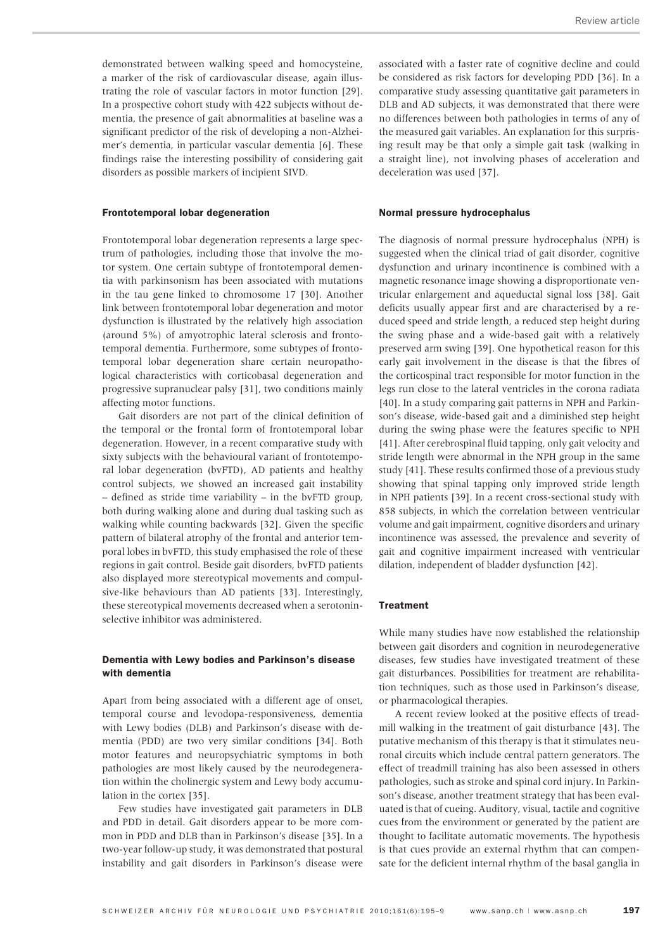demonstrated between walking speed and homocysteine, a marker of the risk of cardiovascular disease, again illustrating the role of vascular factors in motor function [29]. In a prospective cohort study with 422 subjects without dementia, the presence of gait abnormalities at baseline was a significant predictor of the risk of developing a non-Alzheimer's dementia, in particular vascular dementia [6]. These findings raise the interesting possibility of considering gait disorders as possible markers of incipient SIVD.

#### Frontotemporal lobar degeneration

Frontotemporal lobar degeneration represents a large spectrum of pathologies, including those that involve the motor system. One certain subtype of frontotemporal dementia with parkinsonism has been associated with mutations in the tau gene linked to chromosome 17 [30]. Another link between frontotemporal lobar degeneration and motor dysfunction is illustrated by the relatively high association (around 5%) of amyotrophic lateral sclerosis and frontotemporal dementia. Furthermore, some subtypes of frontotemporal lobar degeneration share certain neuropathological characteristics with corticobasal degeneration and progressive supranuclear palsy [31], two conditions mainly affecting motor functions.

Gait disorders are not part of the clinical definition of the temporal or the frontal form of frontotemporal lobar degeneration. However, in a recent comparative study with sixty subjects with the behavioural variant of frontotemporal lobar degeneration (bvFTD), AD patients and healthy control subjects, we showed an increased gait instability – defined as stride time variability – in the bvFTD group, both during walking alone and during dual tasking such as walking while counting backwards [32]. Given the specific pattern of bilateral atrophy of the frontal and anterior temporal lobes in bvFTD, this study emphasised the role of these regions in gait control. Beside gait disorders, bvFTD patients also displayed more stereotypical movements and compulsive-like behaviours than AD patients [33]. Interestingly, these stereotypical movements decreased when a serotoninselective inhibitor was administered.

# Dementia with Lewy bodies and Parkinson's disease with dementia

Apart from being associated with a different age of onset, temporal course and levodopa-responsiveness, dementia with Lewy bodies (DLB) and Parkinson's disease with dementia (PDD) are two very similar conditions [34]. Both motor features and neuropsychiatric symptoms in both pathologies are most likely caused by the neurodegeneration within the cholinergic system and Lewy body accumulation in the cortex [35].

Few studies have investigated gait parameters in DLB and PDD in detail. Gait disorders appear to be more common in PDD and DLB than in Parkinson's disease [35]. In a two-year follow-up study, it was demonstrated that postural instability and gait disorders in Parkinson's disease were associated with a faster rate of cognitive decline and could be considered as risk factors for developing PDD [36]. In a comparative study assessing quantitative gait parameters in DLB and AD subjects, it was demonstrated that there were no differences between both pathologies in terms of any of the measured gait variables. An explanation for this surprising result may be that only a simple gait task (walking in a straight line), not involving phases of acceleration and deceleration was used [37].

#### Normal pressure hydrocephalus

The diagnosis of normal pressure hydrocephalus (NPH) is suggested when the clinical triad of gait disorder, cognitive dysfunction and urinary incontinence is combined with a magnetic resonance image showing a disproportionate ventricular enlargement and aqueductal signal loss [38]. Gait deficits usually appear first and are characterised by a reduced speed and stride length, a reduced step height during the swing phase and a wide-based gait with a relatively preserved arm swing [39]. One hypothetical reason for this early gait involvement in the disease is that the fibres of the corticospinal tract responsible for motor function in the legs run close to the lateral ventricles in the corona radiata [40]. In a study comparing gait patterns in NPH and Parkinson's disease, wide-based gait and a diminished step height during the swing phase were the features specific to NPH [41]. After cerebrospinal fluid tapping, only gait velocity and stride length were abnormal in the NPH group in the same study [41]. These results confirmed those of a previous study showing that spinal tapping only improved stride length in NPH patients [39]. In a recent cross-sectional study with 858 subjects, in which the correlation between ventricular volume and gait impairment, cognitive disorders and urinary incontinence was assessed, the prevalence and severity of gait and cognitive impairment increased with ventricular dilation, independent of bladder dysfunction [42].

## **Treatment**

While many studies have now established the relationship between gait disorders and cognition in neurodegenerative diseases, few studies have investigated treatment of these gait disturbances. Possibilities for treatment are rehabilitation techniques, such as those used in Parkinson's disease, or pharmacological therapies.

A recent review looked at the positive effects of treadmill walking in the treatment of gait disturbance [43]. The putative mechanism of this therapy is that it stimulates neuronal circuits which include central pattern generators. The effect of treadmill training has also been assessed in others pathologies, such as stroke and spinal cord injury. In Parkinson's disease, another treatment strategy that has been evaluated is that of cueing. Auditory, visual, tactile and cognitive cues from the environment or generated by the patient are thought to facilitate automatic movements. The hypothesis is that cues provide an external rhythm that can compensate for the deficient internal rhythm of the basal ganglia in

197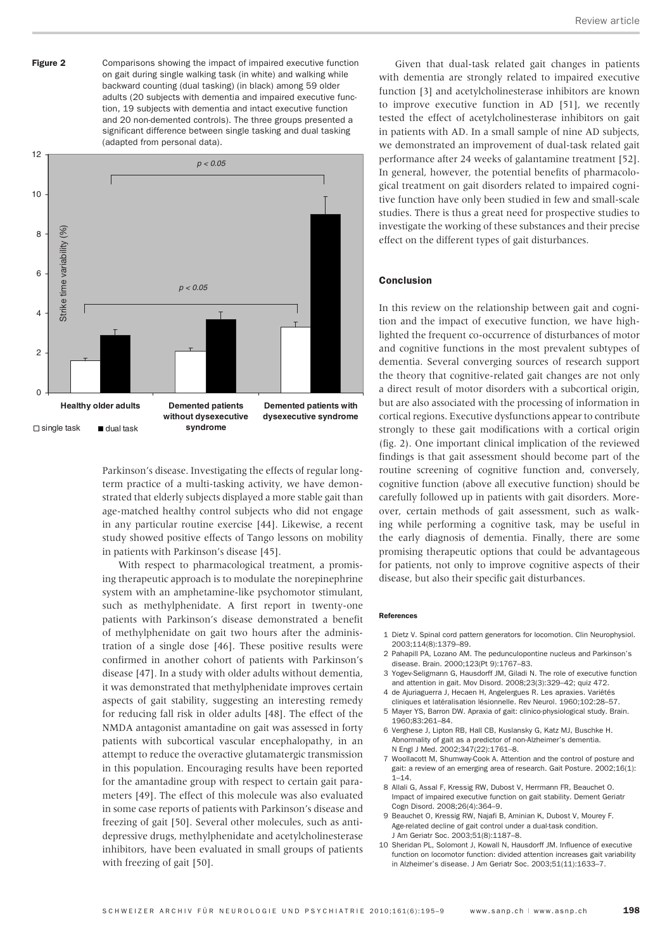Comparisons showing the impact of impaired executive function on gait during single walking task (in white) and walking while backward counting (dual tasking) (in black) among 59 older adults (20 subjects with dementia and impaired executive function, 19 subjects with dementia and intact executive function and 20 non-demented controls). The three groups presented a significant difference between single tasking and dual tasking (adapted from personal data). Figure 2



Parkinson's disease. Investigating the effects of regular longterm practice of a multi-tasking activity, we have demonstrated that elderly subjects displayed a more stable gait than age-matched healthy control subjects who did not engage in any particular routine exercise [44]. Likewise, a recent study showed positive effects of Tango lessons on mobility in patients with Parkinson's disease [45].

With respect to pharmacological treatment, a promising therapeutic approach is to modulate the norepinephrine system with an amphetamine-like psychomotor stimulant, such as methylphenidate. A first report in twenty-one patients with Parkinson's disease demonstrated a benefit of methylphenidate on gait two hours after the administration of a single dose [46]. These positive results were confirmed in another cohort of patients with Parkinson's disease [47]. In a study with older adults without dementia, it was demonstrated that methylphenidate improves certain aspects of gait stability, suggesting an interesting remedy for reducing fall risk in older adults [48]. The effect of the NMDA antagonist amantadine on gait was assessed in forty patients with subcortical vascular encephalopathy, in an attempt to reduce the overactive glutamatergic transmission in this population. Encouraging results have been reported for the amantadine group with respect to certain gait parameters [49]. The effect of this molecule was also evaluated in some case reports of patients with Parkinson's disease and freezing of gait [50]. Several other molecules, such as antidepressive drugs, methylphenidate and acetylcholinesterase inhibitors, have been evaluated in small groups of patients with freezing of gait [50].

Given that dual-task related gait changes in patients with dementia are strongly related to impaired executive function [3] and acetylcholinesterase inhibitors are known to improve executive function in AD [51], we recently tested the effect of acetylcholinesterase inhibitors on gait in patients with AD. In a small sample of nine AD subjects, we demonstrated an improvement of dual-task related gait performance after 24 weeks of galantamine treatment [52]. In general, however, the potential benefits of pharmacological treatment on gait disorders related to impaired cognitive function have only been studied in few and small-scale studies. There is thus a great need for prospective studies to investigate the working of these substances and their precise effect on the different types of gait disturbances.

## Conclusion

In this review on the relationship between gait and cognition and the impact of executive function, we have highlighted the frequent co-occurrence of disturbances of motor and cognitive functions in the most prevalent subtypes of dementia. Several converging sources of research support the theory that cognitive-related gait changes are not only a direct result of motor disorders with a subcortical origin, but are also associated with the processing of information in cortical regions. Executive dysfunctions appear to contribute strongly to these gait modifications with a cortical origin (fig. 2). One important clinical implication of the reviewed findings is that gait assessment should become part of the routine screening of cognitive function and, conversely, cognitive function (above all executive function) should be carefully followed up in patients with gait disorders. Moreover, certain methods of gait assessment, such as walking while performing a cognitive task, may be useful in the early diagnosis of dementia. Finally, there are some promising therapeutic options that could be advantageous for patients, not only to improve cognitive aspects of their disease, but also their specific gait disturbances.

#### References

- 1 Dietz V. Spinal cord pattern generators for locomotion. Clin Neurophysiol. 2003;114(8):1379–89.
- 2 Pahapill PA, Lozano AM. The pedunculopontine nucleus and Parkinson's disease. Brain. 2000;123(Pt 9):1767–83.
- 3 Yogev-Seligmann G, Hausdorff JM, Giladi N. The role of executive function and attention in gait. Mov Disord. 2008;23(3):329–42; quiz 472.
- 4 de Ajuriaguerra J, Hecaen H, Angelergues R. Les apraxies. Variétés cliniques et latéralisation lésionnelle. Rev Neurol. 1960;102:28–57.
- 5 Mayer YS, Barron DW. Apraxia of gait: clinico-physiological study. Brain. 1960;83:261–84.
- 6 Verghese J, Lipton RB, Hall CB, Kuslansky G, Katz MJ, Buschke H. Abnormality of gait as a predictor of non-Alzheimer's dementia. N Engl J Med. 2002;347(22):1761–8.
- 7 Woollacott M, Shumway-Cook A. Attention and the control of posture and gait: a review of an emerging area of research. Gait Posture. 2002;16(1):  $1 - 14.$
- 8 Allali G, Assal F, Kressig RW, Dubost V, Herrmann FR, Beauchet O. Impact of impaired executive function on gait stability. Dement Geriatr Cogn Disord. 2008;26(4):364–9.
- 9 Beauchet O, Kressig RW, Najafi B, Aminian K, Dubost V, Mourey F. Age-related decline of gait control under a dual-task condition. J Am Geriatr Soc. 2003;51(8):1187–8.
- 10 Sheridan PL, Solomont J, Kowall N, Hausdorff JM. Influence of executive function on locomotor function: divided attention increases gait variability in Alzheimer's disease. J Am Geriatr Soc. 2003;51(11):1633–7.

198